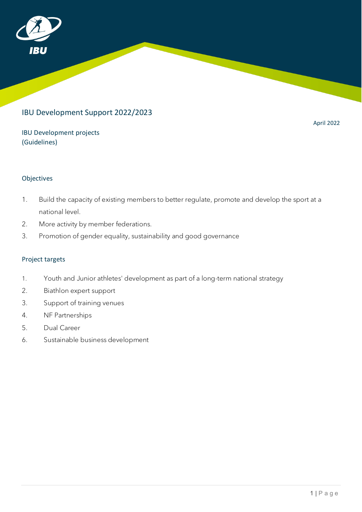

# IBU Development Support 2022/2023

IBU Development projects (Guidelines)

April 2022

# Objectives

- 1. Build the capacity of existing members to better regulate, promote and develop the sport at a national level.
- 2. More activity by member federations.
- 3. Promotion of gender equality, sustainability and good governance

# Project targets

- 1. Youth and Junior athletes' development as part of a long-term national strategy
- 2. Biathlon expert support
- 3. Support of training venues
- 4. NF Partnerships
- 5. Dual Career
- 6. Sustainable business development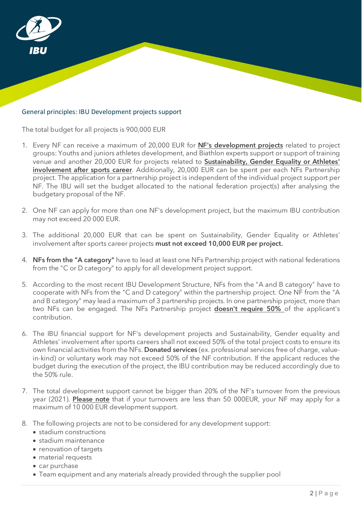

# General principles: IBU Development projects support

The total budget for all projects is 900,000 EUR

- 1. Every NF can receive a maximum of 20,000 EUR for NF's development projects related to project groups: Youths and juniors athletes development, and Biathlon experts support or support of training venue and another 20,000 EUR for projects related to Sustainability, Gender Equality or Athletes' involvement after sports career. Additionally, 20,000 EUR can be spent per each NFs Partnership project. The application for a partnership project is independent of the individual project support per NF. The IBU will set the budget allocated to the national federation project(s) after analysing the budgetary proposal of the NF.
- 2. One NF can apply for more than one NF's development project, but the maximum IBU contribution may not exceed 20 000 EUR.
- 3. The additional 20,000 EUR that can be spent on Sustainability, Gender Equality or Athletes' involvement after sports career projects must not exceed 10,000 EUR per project.
- 4. NFs from the "A category" have to lead at least one NFs Partnership project with national federations from the "C or D category" to apply for all development project support.
- 5. According to the most recent IBU Development Structure, NFs from the "A and B category" have to cooperate with NFs from the "C and D category" within the partnership project. One NF from the "A and B category" may lead a maximum of 3 partnership projects. In one partnership project, more than two NFs can be engaged. The NFs Partnership project **doesn't require 50%** of the applicant's contribution.
- 6. The IBU financial support for NF's development projects and Sustainability, Gender equality and Athletes' involvement after sports careers shall not exceed 50% of the total project costs to ensure its own financial activities from the NFs. Donated services (ex. professional services free of charge, valuein-kind) or voluntary work may not exceed 50% of the NF contribution. If the applicant reduces the budget during the execution of the project, the IBU contribution may be reduced accordingly due to the 50% rule.
- 7. The total development support cannot be bigger than 20% of the NF's turnover from the previous year (2021). Please note that if your turnovers are less than 50 000EUR, your NF may apply for a maximum of 10 000 EUR development support.
- 8. The following projects are not to be considered for any development support:
	- stadium constructions
	- stadium maintenance
	- renovation of targets
	- material requests
	- car purchase
	- Team equipment and any materials already provided through the supplier pool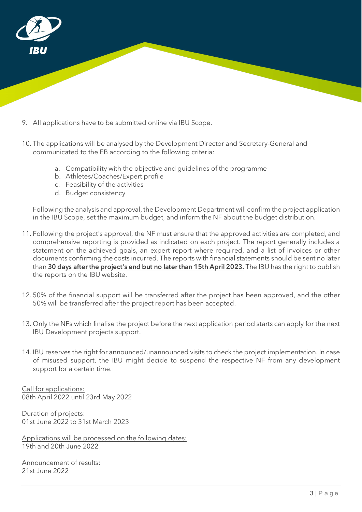

- 9. All applications have to be submitted online via IBU Scope.
- 10. The applications will be analysed by the Development Director and Secretary-General and communicated to the EB according to the following criteria:
	- a. Compatibility with the objective and guidelines of the programme
	- b. Athletes/Coaches/Expert profile
	- c. Feasibility of the activities
	- d. Budget consistency

Following the analysis and approval, the Development Department will confirm the project application in the IBU Scope, set the maximum budget, and inform the NF about the budget distribution.

- 11. Following the project's approval, the NF must ensure that the approved activities are completed, and comprehensive reporting is provided as indicated on each project. The report generally includes a statement on the achieved goals, an expert report where required, and a list of invoices or other documents confirming the costs incurred. The reports with financial statements should be sent no later than 30 days after the project's end but no later than 15th April 2023. The IBU has the right to publish the reports on the IBU website.
- 12. 50% of the financial support will be transferred after the project has been approved, and the other 50% will be transferred after the project report has been accepted.
- 13. Only the NFs which finalise the project before the next application period starts can apply for the next IBU Development projects support.
- 14. IBU reserves the right for announced/unannounced visits to check the project implementation. In case of misused support, the IBU might decide to suspend the respective NF from any development support for a certain time.

Call for applications: 08th April 2022 until 23rd May 2022

Duration of projects: 01st June 2022 to 31st March 2023

Applications will be processed on the following dates: 19th and 20th June 2022

Announcement of results: 21st June 2022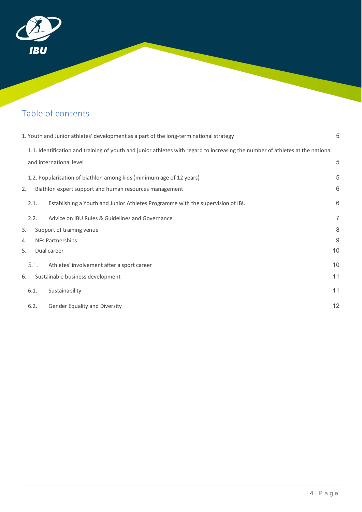

# Table of contents

| 1. Youth and Junior athletes' development as a part of the long-term national strategy |             | 5                                                                                                                              |                |
|----------------------------------------------------------------------------------------|-------------|--------------------------------------------------------------------------------------------------------------------------------|----------------|
|                                                                                        |             | 1.1. Identification and training of youth and junior athletes with regard to increasing the number of athletes at the national |                |
|                                                                                        |             | and international level                                                                                                        |                |
|                                                                                        |             | 1.2. Popularisation of biathlon among kids (minimum age of 12 years)                                                           |                |
| 2.                                                                                     |             | Biathlon expert support and human resources management                                                                         | 6              |
|                                                                                        | 2.1.        | Establishing a Youth and Junior Athletes Programme with the supervision of IBU                                                 | 6              |
|                                                                                        | 2.2.        | Advice on IBU Rules & Guidelines and Governance                                                                                | $\overline{7}$ |
| 3.                                                                                     |             | Support of training venue                                                                                                      | 8              |
| 4.                                                                                     |             | $9\,$<br><b>NFs Partnerships</b>                                                                                               |                |
| 5.                                                                                     | Dual career |                                                                                                                                | 10             |
|                                                                                        | 5.1.        | Athletes' involvement after a sport career                                                                                     | 10             |
| 6.                                                                                     |             | Sustainable business development                                                                                               | 11             |
|                                                                                        | 6.1.        | Sustainability                                                                                                                 | 11             |
|                                                                                        | 6.2.        | Gender Equality and Diversity                                                                                                  | 12             |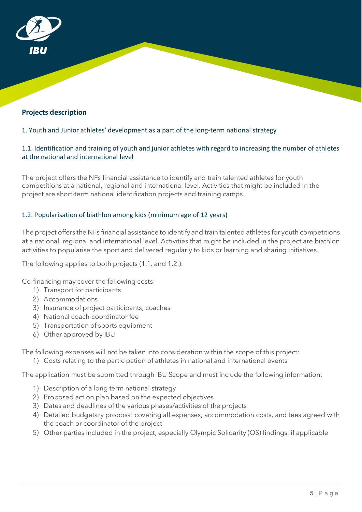# **Projects description**

# <span id="page-4-0"></span>1. Youth and Junior athletes' development as a part of the long-term national strategy

# <span id="page-4-1"></span>1.1. Identification and training of youth and junior athletes with regard to increasing the number of athletes at the national and international level

The project offers the NFs financial assistance to identify and train talented athletes for youth competitions at a national, regional and international level. Activities that might be included in the project are short-term national identification projects and training camps.

# <span id="page-4-2"></span>1.2. Popularisation of biathlon among kids (minimum age of 12 years)

The project offers the NFs financial assistance to identify and train talented athletes for youth competitions at a national, regional and international level. Activities that might be included in the project are biathlon activities to popularise the sport and delivered regularly to kids or learning and sharing initiatives.

The following applies to both projects (1.1. and 1.2.):

Co-financing may cover the following costs:

- 1) Transport for participants
- 2) Accommodations
- 3) Insurance of project participants, coaches
- 4) National coach-coordinator fee
- 5) Transportation of sports equipment
- 6) Other approved by IBU

The following expenses will not be taken into consideration within the scope of this project:

1) Costs relating to the participation of athletes in national and international events

The application must be submitted through IBU Scope and must include the following information:

- 1) Description of a long term national strategy
- 2) Proposed action plan based on the expected objectives
- 3) Dates and deadlines of the various phases/activities of the projects
- 4) Detailed budgetary proposal covering all expenses, accommodation costs, and fees agreed with the coach or coordinator of the project
- 5) Other parties included in the project, especially Olympic Solidarity (OS) findings, if applicable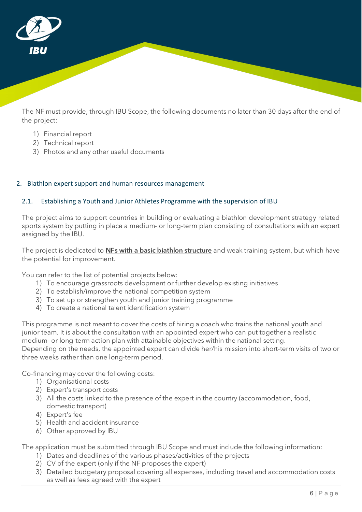

The NF must provide, through IBU Scope, the following documents no later than 30 days after the end of the project:

- 1) Financial report
- 2) Technical report
- 3) Photos and any other useful documents

# <span id="page-5-0"></span>2. Biathlon expert support and human resources management

# <span id="page-5-1"></span>2.1. Establishing a Youth and Junior Athletes Programme with the supervision of IBU

The project aims to support countries in building or evaluating a biathlon development strategy related sports system by putting in place a medium- or long-term plan consisting of consultations with an expert assigned by the IBU.

The project is dedicated to **NFs with a basic biathlon structure** and weak training system, but which have the potential for improvement.

You can refer to the list of potential projects below:

- 1) To encourage grassroots development or further develop existing initiatives
- 2) To establish/improve the national competition system
- 3) To set up or strengthen youth and junior training programme
- 4) To create a national talent identification system

This programme is not meant to cover the costs of hiring a coach who trains the national youth and junior team. It is about the consultation with an appointed expert who can put together a realistic medium- or long-term action plan with attainable objectives within the national setting. Depending on the needs, the appointed expert can divide her/his mission into short-term visits of two or three weeks rather than one long-term period.

Co-financing may cover the following costs:

- 1) Organisational costs
- 2) Expert's transport costs
- 3) All the costs linked to the presence of the expert in the country (accommodation, food, domestic transport)
- 4) Expert's fee
- 5) Health and accident insurance
- 6) Other approved by IBU

The application must be submitted through IBU Scope and must include the following information:

- 1) Dates and deadlines of the various phases/activities of the projects
- 2) CV of the expert (only if the NF proposes the expert)
- 3) Detailed budgetary proposal covering all expenses, including travel and accommodation costs as well as fees agreed with the expert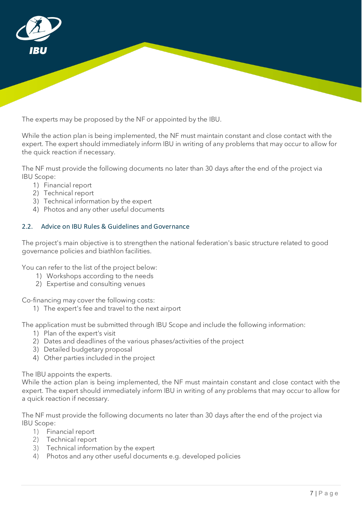

The experts may be proposed by the NF or appointed by the IBU.

While the action plan is being implemented, the NF must maintain constant and close contact with the expert. The expert should immediately inform IBU in writing of any problems that may occur to allow for the quick reaction if necessary.

The NF must provide the following documents no later than 30 days after the end of the project via IBU Scope:

- 1) Financial report
- 2) Technical report
- 3) Technical information by the expert
- 4) Photos and any other useful documents

# <span id="page-6-0"></span>2.2. Advice on IBU Rules & Guidelines and Governance

The project's main objective is to strengthen the national federation's basic structure related to good governance policies and biathlon facilities.

You can refer to the list of the project below:

- 1) Workshops according to the needs
- 2) Expertise and consulting venues

Co-financing may cover the following costs:

1) The expert's fee and travel to the next airport

The application must be submitted through IBU Scope and include the following information:

- 1) Plan of the expert's visit
- 2) Dates and deadlines of the various phases/activities of the project
- 3) Detailed budgetary proposal
- 4) Other parties included in the project

The IBU appoints the experts.

While the action plan is being implemented, the NF must maintain constant and close contact with the expert. The expert should immediately inform IBU in writing of any problems that may occur to allow for a quick reaction if necessary.

- 1) Financial report
- 2) Technical report
- 3) Technical information by the expert
- 4) Photos and any other useful documents e.g. developed policies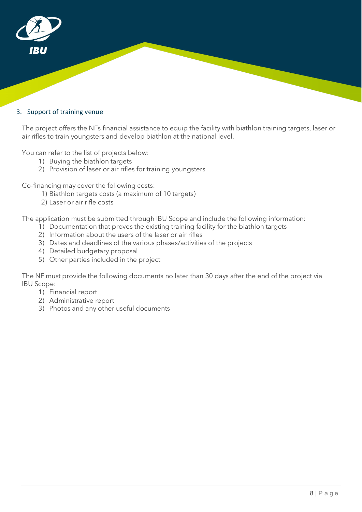

#### <span id="page-7-0"></span>3. Support of training venue

The project offers the NFs financial assistance to equip the facility with biathlon training targets, laser or air rifles to train youngsters and develop biathlon at the national level.

You can refer to the list of projects below:

- 1) Buying the biathlon targets
- 2) Provision of laser or air rifles for training youngsters

Co-financing may cover the following costs:

- 1) Biathlon targets costs (a maximum of 10 targets)
- 2) Laser or air rifle costs

The application must be submitted through IBU Scope and include the following information:

- 1) Documentation that proves the existing training facility for the biathlon targets
- 2) Information about the users of the laser or air rifles
- 3) Dates and deadlines of the various phases/activities of the projects
- 4) Detailed budgetary proposal
- 5) Other parties included in the project

- 1) Financial report
- 2) Administrative report
- 3) Photos and any other useful documents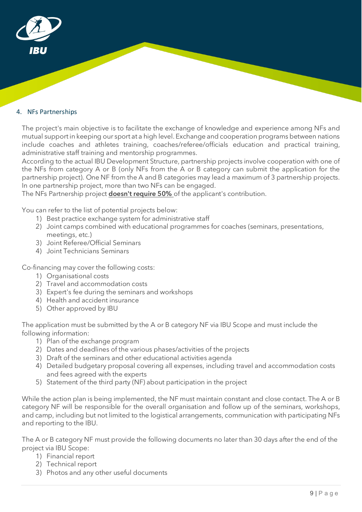

# <span id="page-8-0"></span>4. NFs Partnerships

The project's main objective is to facilitate the exchange of knowledge and experience among NFs and mutual support in keeping our sport at a high level. Exchange and cooperation programs between nations include coaches and athletes training, coaches/referee/officials education and practical training, administrative staff training and mentorship programmes.

According to the actual IBU Development Structure, partnership projects involve cooperation with one of the NFs from category A or B (only NFs from the A or B category can submit the application for the partnership project). One NF from the A and B categories may lead a maximum of 3 partnership projects. In one partnership project, more than two NFs can be engaged.

The NFs Partnership project **doesn't require 50%** of the applicant's contribution.

You can refer to the list of potential projects below:

- 1) Best practice exchange system for administrative staff
- 2) Joint camps combined with educational programmes for coaches (seminars, presentations, meetings, etc.)
- 3) Joint Referee/Official Seminars
- 4) Joint Technicians Seminars

Co-financing may cover the following costs:

- 1) Organisational costs
- 2) Travel and accommodation costs
- 3) Expert's fee during the seminars and workshops
- 4) Health and accident insurance
- 5) Other approved by IBU

The application must be submitted by the A or B category NF via IBU Scope and must include the following information:

- 1) Plan of the exchange program
- 2) Dates and deadlines of the various phases/activities of the projects
- 3) Draft of the seminars and other educational activities agenda
- 4) Detailed budgetary proposal covering all expenses, including travel and accommodation costs and fees agreed with the experts
- 5) Statement of the third party (NF) about participation in the project

While the action plan is being implemented, the NF must maintain constant and close contact. The A or B category NF will be responsible for the overall organisation and follow up of the seminars, workshops, and camp, including but not limited to the logistical arrangements, communication with participating NFs and reporting to the IBU.

- 1) Financial report
- 2) Technical report
- 3) Photos and any other useful documents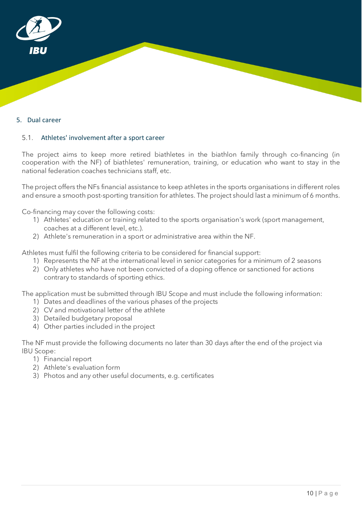

#### <span id="page-9-0"></span>5. Dual career

# <span id="page-9-1"></span>5.1. Athletes' involvement after a sport career

The project aims to keep more retired biathletes in the biathlon family through co-financing (in cooperation with the NF) of biathletes' remuneration, training, or education who want to stay in the national federation coaches technicians staff, etc.

The project offers the NFs financial assistance to keep athletes in the sports organisations in different roles and ensure a smooth post-sporting transition for athletes. The project should last a minimum of 6 months.

Co-financing may cover the following costs:

- 1) Athletes' education or training related to the sports organisation's work (sport management, coaches at a different level, etc.).
- 2) Athlete's remuneration in a sport or administrative area within the NF.

Athletes must fulfil the following criteria to be considered for financial support:

- 1) Represents the NF at the international level in senior categories for a minimum of 2 seasons
- 2) Only athletes who have not been convicted of a doping offence or sanctioned for actions contrary to standards of sporting ethics.

The application must be submitted through IBU Scope and must include the following information:

- 1) Dates and deadlines of the various phases of the projects
- 2) CV and motivational letter of the athlete
- 3) Detailed budgetary proposal
- 4) Other parties included in the project

- 1) Financial report
- 2) Athlete's evaluation form
- 3) Photos and any other useful documents, e.g. certificates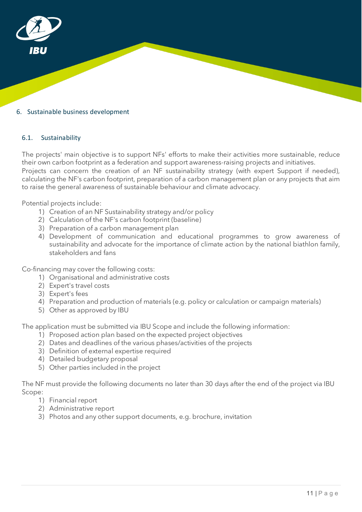

#### <span id="page-10-0"></span>6. Sustainable business development

#### <span id="page-10-1"></span>6.1. Sustainability

The projects' main objective is to support NFs' efforts to make their activities more sustainable, reduce their own carbon footprint as a federation and support awareness-raising projects and initiatives. Projects can concern the creation of an NF sustainability strategy (with expert Support if needed), calculating the NF's carbon footprint, preparation of a carbon management plan or any projects that aim to raise the general awareness of sustainable behaviour and climate advocacy.

Potential projects include:

- 1) Creation of an NF Sustainability strategy and/or policy
- 2) Calculation of the NF's carbon footprint (baseline)
- 3) Preparation of a carbon management plan
- 4) Development of communication and educational programmes to grow awareness of sustainability and advocate for the importance of climate action by the national biathlon family, stakeholders and fans

Co-financing may cover the following costs:

- 1) Organisational and administrative costs
- 2) Expert's travel costs
- 3) Expert's fees
- 4) Preparation and production of materials (e.g. policy or calculation or campaign materials)
- 5) Other as approved by IBU

The application must be submitted via IBU Scope and include the following information:

- 1) Proposed action plan based on the expected project objectives
- 2) Dates and deadlines of the various phases/activities of the projects
- 3) Definition of external expertise required
- 4) Detailed budgetary proposal
- 5) Other parties included in the project

- 1) Financial report
- 2) Administrative report
- 3) Photos and any other support documents, e.g. brochure, invitation